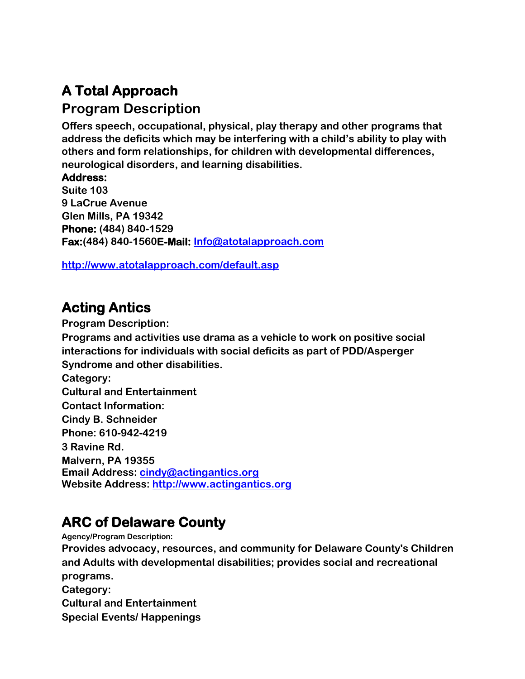# **A Total Approach**

#### **Program Description**

**Offers speech, occupational, physical, play therapy and other programs that address the deficits which may be interfering with a child's ability to play with others and form relationships, for children with developmental differences, neurological disorders, and learning disabilities.**

**Address:**

**Suite 103 9 LaCrue Avenue Glen Mills, PA 19342 Phone: (484) 840-1529 Fax:(484) 840-1560E-Mail: [Info@atotalapproach.com](mailto:Info@atotalapproach.com)**

**<http://www.atotalapproach.com/default.asp>**

# **Acting Antics**

**Program Description: Programs and activities use drama as a vehicle to work on positive social interactions for individuals with social deficits as part of PDD/Asperger Syndrome and other disabilities. Category: Cultural and Entertainment Contact Information: Cindy B. Schneider Phone: 610-942-4219 3 Ravine Rd. Malvern, PA 19355 Email Address: [cindy@actingantics.org](mailto:cindy@actingantics.org) Website Address: [http://www.actingantics.org](http://www.actingantics.org/)**

# **ARC of Delaware County**

**Agency/Program Description: Provides advocacy, resources, and community for Delaware County's Children and Adults with developmental disabilities; provides social and recreational programs. Category: Cultural and Entertainment** 

**Special Events/ Happenings**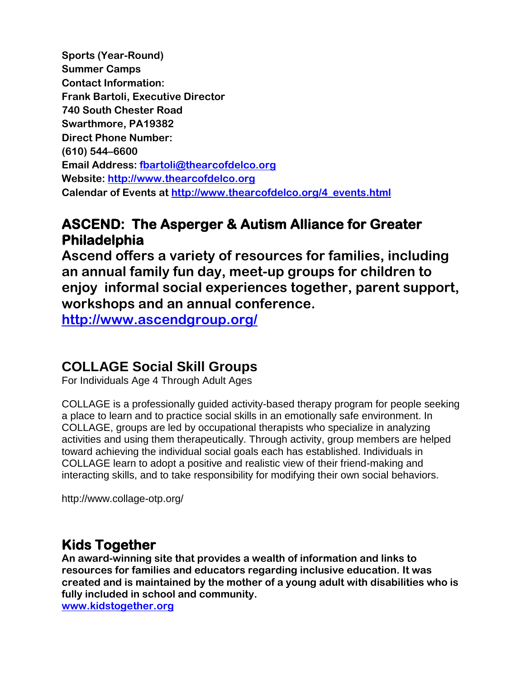**Sports (Year-Round) Summer Camps Contact Information: Frank Bartoli, Executive Director 740 South Chester Road Swarthmore, PA19382 Direct Phone Number: (610) 544–6600 Email Address: [fbartoli@thearcofdelco.org](mailto:fbartoli@thearcofdelco.org) Website: [http://www.thearcofdelco.org](http://www.thearcofdelco.org/) Calendar of Events at [http://www.thearcofdelco.org/4\\_events.html](http://www.thearcofdelco.org/4_events.html)**

## **ASCEND: The Asperger & Autism Alliance for Greater Philadelphia**

**Ascend offers a variety of resources for families, including an annual family fun day, meet-up groups for children to enjoy informal social experiences together, parent support, workshops and an annual conference.** 

**<http://www.ascendgroup.org/>**

#### **COLLAGE Social Skill Groups**

For Individuals Age 4 Through Adult Ages

COLLAGE is a professionally guided activity-based therapy program for people seeking a place to learn and to practice social skills in an emotionally safe environment. In COLLAGE, groups are led by occupational therapists who specialize in analyzing activities and using them therapeutically. Through activity, group members are helped toward achieving the individual social goals each has established. Individuals in COLLAGE learn to adopt a positive and realistic view of their friend-making and interacting skills, and to take responsibility for modifying their own social behaviors.

http://www.collage-otp.org/

### **Kids Together**

**An award-winning site that provides a wealth of information and links to resources for families and educators regarding inclusive education. It was created and is maintained by the mother of a young adult with disabilities who is fully included in school and community. [www.kidstogether.org](http://www.kidstogether.org/)**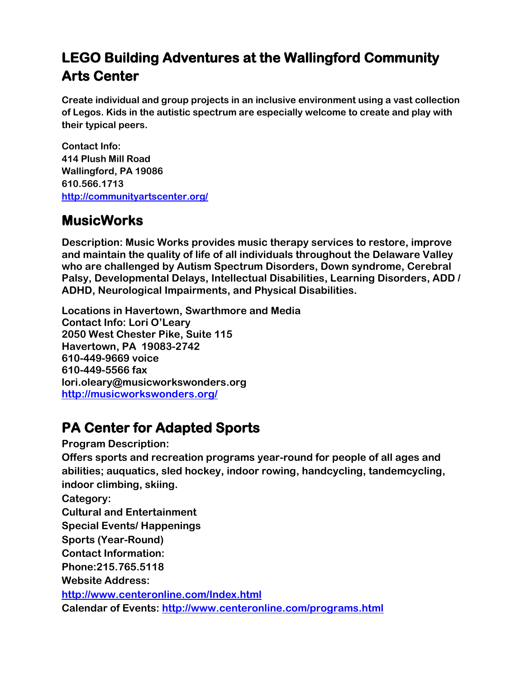# **LEGO Building Adventures at the Wallingford Community Arts Center**

**Create individual and group projects in an inclusive environment using a vast collection of Legos. Kids in the autistic spectrum are especially welcome to create and play with their typical peers.**

**Contact Info: 414 Plush Mill Road Wallingford, PA 19086 610.566.1713 <http://communityartscenter.org/>**

## **MusicWorks**

**Description: Music Works provides music therapy services to restore, improve and maintain the quality of life of all individuals throughout the Delaware Valley who are challenged by Autism Spectrum Disorders, Down syndrome, Cerebral Palsy, Developmental Delays, Intellectual Disabilities, Learning Disorders, ADD / ADHD, Neurological Impairments, and Physical Disabilities.**

**Locations in Havertown, Swarthmore and Media Contact Info: Lori O'Leary 2050 West Chester Pike, Suite 115 Havertown, PA 19083-2742 610-449-9669 voice 610-449-5566 fax lori.oleary@musicworkswonders.org <http://musicworkswonders.org/>**

# **PA Center for Adapted Sports**

**Program Description:** 

**Offers sports and recreation programs year-round for people of all ages and abilities; auquatics, sled hockey, indoor rowing, handcycling, tandemcycling, indoor climbing, skiing.** 

**Category:** 

**Cultural and Entertainment** 

**Special Events/ Happenings** 

**Sports (Year-Round)**

**Contact Information:**

**Phone:215.765.5118**

**Website Address:** 

**<http://www.centeronline.com/Index.html>**

**Calendar of Events:<http://www.centeronline.com/programs.html>**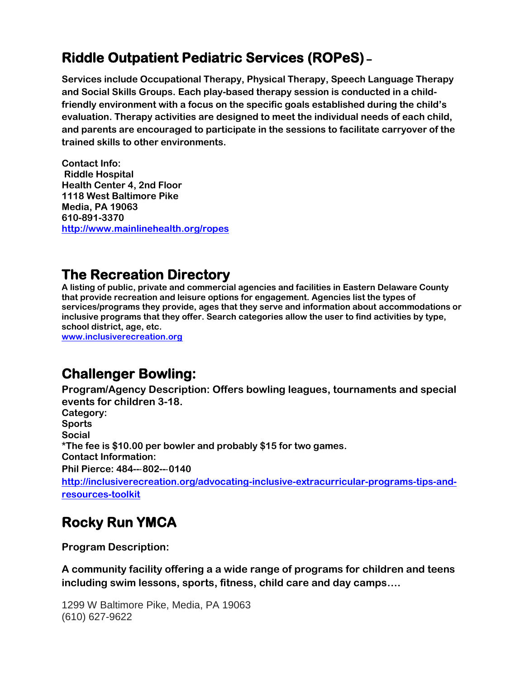# **Riddle Outpatient Pediatric Services (ROPeS) –**

**Services include Occupational Therapy, Physical Therapy, Speech Language Therapy and Social Skills Groups. Each play-based therapy session is conducted in a childfriendly environment with a focus on the specific goals established during the child's evaluation. Therapy activities are designed to meet the individual needs of each child, and parents are encouraged to participate in the sessions to facilitate carryover of the trained skills to other environments.** 

**Contact Info: Riddle Hospital Health Center 4, 2nd Floor 1118 West Baltimore Pike Media, PA 19063 610-891-3370 <http://www.mainlinehealth.org/ropes>**

### **The Recreation Directory**

**A listing of public, private and commercial agencies and facilities in Eastern Delaware County that provide recreation and leisure options for engagement. Agencies list the types of services/programs they provide, ages that they serve and information about accommodations or inclusive programs that they offer. Search categories allow the user to find activities by type, school district, age, etc.**

**[www.inclusiverecreation.org](http://www.inclusiverecreation.org/)**

# **Challenger Bowling:**

**Program/Agency Description: Offers bowling leagues, tournaments and special events for children 3-18.**

**Category: Sports Social \*The fee is \$10.00 per bowler and probably \$15 for two games. Contact Information: Phil Pierce: 484--**‐**802--**‐**0140 [http://inclusiverecreation.org/advocating-inclusive-extracurricular-programs-tips-and](http://inclusiverecreation.org/advocating-inclusive-extracurricular-programs-tips-and-resources-toolkit)[resources-toolkit](http://inclusiverecreation.org/advocating-inclusive-extracurricular-programs-tips-and-resources-toolkit)**

# **Rocky Run YMCA**

**Program Description:**

**A community facility offering a a wide range of programs for children and teens including swim lessons, sports, fitness, child care and day camps….** 

1299 W Baltimore Pike, Media, PA 19063 (610) 627-9622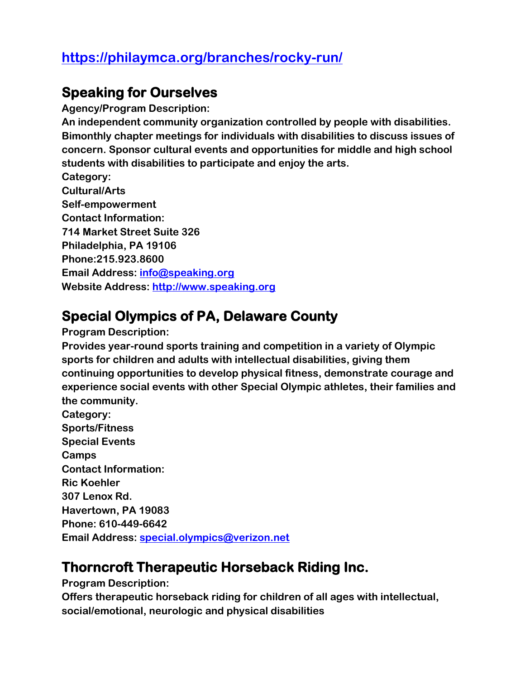## **<https://philaymca.org/branches/rocky-run/>**

#### **Speaking for Ourselves**

**Agency/Program Description: An independent community organization controlled by people with disabilities. Bimonthly chapter meetings for individuals with disabilities to discuss issues of concern. Sponsor cultural events and opportunities for middle and high school students with disabilities to participate and enjoy the arts. Category: Cultural/Arts Self-empowerment Contact Information: 714 Market Street Suite 326 Philadelphia, PA 19106 Phone:215.923.8600 Email Address: [info@speaking.org](mailto:info@speaking.org) Website Address: [http://www.speaking.org](http://www.speaking.org/)**

## **Special Olympics of PA, Delaware County**

**Program Description:**

**Provides year-round sports training and competition in a variety of Olympic sports for children and adults with intellectual disabilities, giving them continuing opportunities to develop physical fitness, demonstrate courage and experience social events with other Special Olympic athletes, their families and the community.** 

**Category: Sports/Fitness Special Events Camps Contact Information: Ric Koehler 307 Lenox Rd. Havertown, PA 19083 Phone: 610-449-6642 Email Address: [special.olympics@verizon.net](mailto:special.olympics@verizon.net)**

### **Thorncroft Therapeutic Horseback Riding Inc.**

**Program Description:**

**Offers therapeutic horseback riding for children of all ages with intellectual, social/emotional, neurologic and physical disabilities**